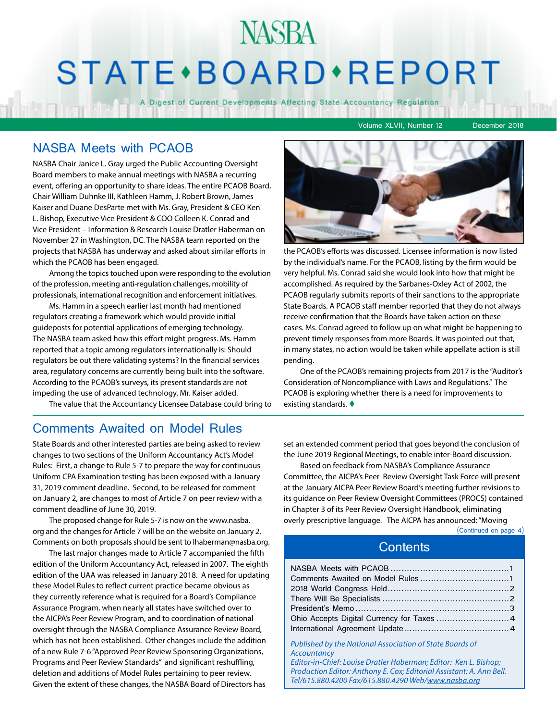# NASBA STATE · BOARD · REPORT

A Digest of Current Developments Affecting State Accountancy Regulation

Volume XLVII, Number 12 December 2018

### NASBA Meets with PCAOB

NASBA Chair Janice L. Gray urged the Public Accounting Oversight Board members to make annual meetings with NASBA a recurring event, offering an opportunity to share ideas. The entire PCAOB Board, Chair William Duhnke III, Kathleen Hamm, J. Robert Brown, James Kaiser and Duane DesParte met with Ms. Gray, President & CEO Ken L. Bishop, Executive Vice President & COO Colleen K. Conrad and Vice President – Information & Research Louise Dratler Haberman on November 27 in Washington, DC. The NASBA team reported on the projects that NASBA has underway and asked about similar efforts in which the PCAOB has been engaged.

Among the topics touched upon were responding to the evolution of the profession, meeting anti-regulation challenges, mobility of professionals, international recognition and enforcement initiatives.

Ms. Hamm in a speech earlier last month had mentioned regulators creating a framework which would provide initial guideposts for potential applications of emerging technology. The NASBA team asked how this effort might progress. Ms. Hamm reported that a topic among regulators internationally is: Should regulators be out there validating systems? In the financial services area, regulatory concerns are currently being built into the software. According to the PCAOB's surveys, its present standards are not impeding the use of advanced technology, Mr. Kaiser added.

The value that the Accountancy Licensee Database could bring to

### Comments Awaited on Model Rules

State Boards and other interested parties are being asked to review changes to two sections of the Uniform Accountancy Act's Model Rules: First, a change to Rule 5-7 to prepare the way for continuous Uniform CPA Examination testing has been exposed with a January 31, 2019 comment deadline. Second, to be released for comment on January 2, are changes to most of Article 7 on peer review with a comment deadline of June 30, 2019.

The proposed change for Rule 5-7 is now on the www.nasba. org and the changes for Article 7 will be on the website on January 2. Comments on both proposals should be sent to lhaberman@nasba.org.

The last major changes made to Article 7 accompanied the fifth edition of the Uniform Accountancy Act, released in 2007. The eighth edition of the UAA was released in January 2018. A need for updating these Model Rules to reflect current practice became obvious as they currently reference what is required for a Board's Compliance Assurance Program, when nearly all states have switched over to the AICPA's Peer Review Program, and to coordination of national oversight through the NASBA Compliance Assurance Review Board, which has not been established. Other changes include the addition of a new Rule 7-6 "Approved Peer Review Sponsoring Organizations, Programs and Peer Review Standards" and significant reshuffling, deletion and additions of Model Rules pertaining to peer review. Given the extent of these changes, the NASBA Board of Directors has



the PCAOB's efforts was discussed. Licensee information is now listed by the individual's name. For the PCAOB, listing by the firm would be very helpful. Ms. Conrad said she would look into how that might be accomplished. As required by the Sarbanes-Oxley Act of 2002, the PCAOB regularly submits reports of their sanctions to the appropriate State Boards. A PCAOB staff member reported that they do not always receive confirmation that the Boards have taken action on these cases. Ms. Conrad agreed to follow up on what might be happening to prevent timely responses from more Boards. It was pointed out that, in many states, no action would be taken while appellate action is still pending.

One of the PCAOB's remaining projects from 2017 is the "Auditor's Consideration of Noncompliance with Laws and Regulations." The PCAOB is exploring whether there is a need for improvements to existing standards.  $\blacklozenge$ 

set an extended comment period that goes beyond the conclusion of the June 2019 Regional Meetings, to enable inter-Board discussion.

Based on feedback from NASBA's Compliance Assurance Committee, the AICPA's Peer Review Oversight Task Force will present at the January AICPA Peer Review Board's meeting further revisions to its guidance on Peer Review Oversight Committees (PROCS) contained in Chapter 3 of its Peer Review Oversight Handbook, eliminating overly prescriptive language. The AICPA has announced: "Moving

(Continued on page 4)

## **Contents**

| Published by the National Association of State Boards of |
|----------------------------------------------------------|

*Accountancy Editor-in-Chief: Louise Dratler Haberman; Editor: Ken L. Bishop; Production Editor: Anthony E. Cox; Editorial Assistant: A. Ann Bell. Tel/615.880.4200 Fax/615.880.4290 Web/www.nasba.org*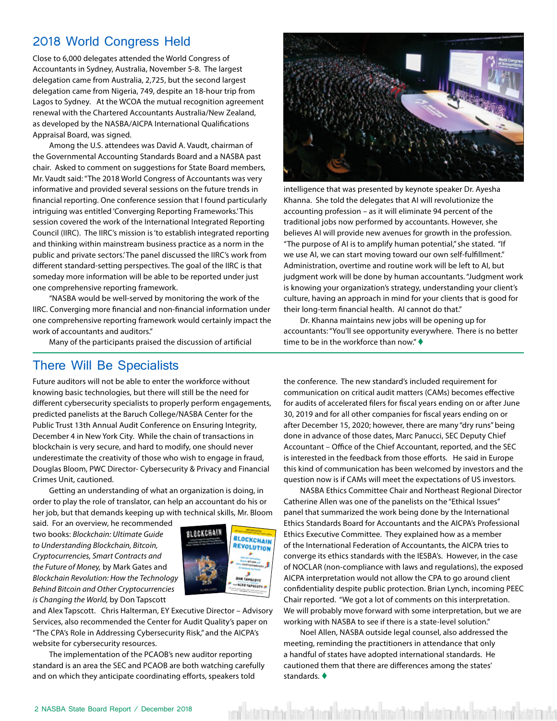# <span id="page-1-0"></span>2018 World Congress Held

Close to 6,000 delegates attended the World Congress of Accountants in Sydney, Australia, November 5-8. The largest delegation came from Australia, 2,725, but the second largest delegation came from Nigeria, 749, despite an 18-hour trip from Lagos to Sydney. At the WCOA the mutual recognition agreement renewal with the Chartered Accountants Australia/New Zealand, as developed by the NASBA/AICPA International Qualifications Appraisal Board, was signed.

Among the U.S. attendees was David A. Vaudt, chairman of the Governmental Accounting Standards Board and a NASBA past chair. Asked to comment on suggestions for State Board members, Mr. Vaudt said: "The 2018 World Congress of Accountants was very informative and provided several sessions on the future trends in financial reporting. One conference session that I found particularly intriguing was entitled 'Converging Reporting Frameworks.' This session covered the work of the International Integrated Reporting Council (IIRC). The IIRC's mission is 'to establish integrated reporting and thinking within mainstream business practice as a norm in the public and private sectors.' The panel discussed the IIRC's work from different standard-setting perspectives. The goal of the IIRC is that someday more information will be able to be reported under just one comprehensive reporting framework.

"NASBA would be well-served by monitoring the work of the IIRC. Converging more financial and non-financial information under one comprehensive reporting framework would certainly impact the work of accountants and auditors."

Many of the participants praised the discussion of artificial

## There Will Be Specialists

Future auditors will not be able to enter the workforce without knowing basic technologies, but there will still be the need for different cybersecurity specialists to properly perform engagements, predicted panelists at the Baruch College/NASBA Center for the Public Trust 13th Annual Audit Conference on Ensuring Integrity, December 4 in New York City. While the chain of transactions in blockchain is very secure, and hard to modify, one should never underestimate the creativity of those who wish to engage in fraud, Douglas Bloom, PWC Director- Cybersecurity & Privacy and Financial Crimes Unit, cautioned.

Getting an understanding of what an organization is doing, in order to play the role of translator, can help an accountant do his or her job, but that demands keeping up with technical skills, Mr. Bloom

said. For an overview, he recommended two books: *Blockchain: Ultimate Guide to Understanding Blockchain, Bitcoin, Cryptocurrencies, Smart Contracts and the Future of Money,* by Mark Gates and *Blockchain Revolution: How the Technology Behind Bitcoin and Other Cryptocurrencies is Changing the World,* by Don Tapscott



and Alex Tapscott. Chris Halterman, EY Executive Director – Advisory Services, also recommended the Center for Audit Quality's paper on "The CPA's Role in Addressing Cybersecurity Risk," and the AICPA's website for cybersecurity resources.

The implementation of the PCAOB's new auditor reporting standard is an area the SEC and PCAOB are both watching carefully and on which they anticipate coordinating efforts, speakers told



intelligence that was presented by keynote speaker Dr. Ayesha Khanna. She told the delegates that AI will revolutionize the accounting profession – as it will eliminate 94 percent of the traditional jobs now performed by accountants. However, she believes AI will provide new avenues for growth in the profession. "The purpose of AI is to amplify human potential," she stated. "If we use AI, we can start moving toward our own self-fulfillment." Administration, overtime and routine work will be left to AI, but judgment work will be done by human accountants. "Judgment work is knowing your organization's strategy, understanding your client's culture, having an approach in mind for your clients that is good for their long-term financial health. AI cannot do that."

Dr. Khanna maintains new jobs will be opening up for accountants: "You'll see opportunity everywhere. There is no better time to be in the workforce than now."  $\blacklozenge$ 

the conference. The new standard's included requirement for communication on critical audit matters (CAMs) becomes effective for audits of accelerated filers for fiscal years ending on or after June 30, 2019 and for all other companies for fiscal years ending on or after December 15, 2020; however, there are many "dry runs" being done in advance of those dates, Marc Panucci, SEC Deputy Chief Accountant – Office of the Chief Accountant, reported, and the SEC is interested in the feedback from those efforts. He said in Europe this kind of communication has been welcomed by investors and the question now is if CAMs will meet the expectations of US investors.

NASBA Ethics Committee Chair and Northeast Regional Director Catherine Allen was one of the panelists on the "Ethical Issues" panel that summarized the work being done by the International Ethics Standards Board for Accountants and the AICPA's Professional Ethics Executive Committee. They explained how as a member of the International Federation of Accountants, the AICPA tries to converge its ethics standards with the IESBA's. However, in the case of NOCLAR (non-compliance with laws and regulations), the exposed AICPA interpretation would not allow the CPA to go around client confidentiality despite public protection. Brian Lynch, incoming PEEC Chair reported. "We got a lot of comments on this interpretation. We will probably move forward with some interpretation, but we are working with NASBA to see if there is a state-level solution."

Noel Allen, NASBA outside legal counsel, also addressed the meeting, reminding the practitioners in attendance that only a handful of states have adopted international standards. He cautioned them that there are differences among the states' standards.  $\blacklozenge$ 

kitatan kacika da boshi kitata dan kacika boshi kitata dan kacika na botatan da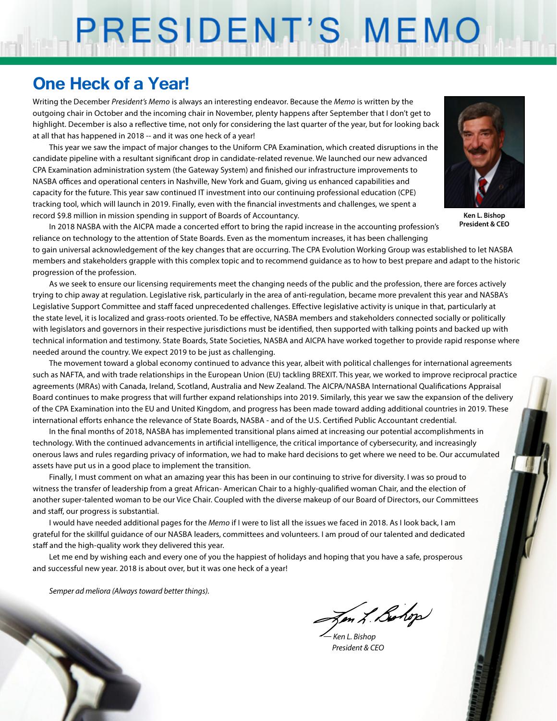# PRESIDENT'S MEMO

# **One Heck of a Year!**

Writing the December *President's Memo* is always an interesting endeavor. Because the *Memo* is written by the outgoing chair in October and the incoming chair in November, plenty happens after September that I don't get to highlight. December is also a reflective time, not only for considering the last quarter of the year, but for looking back at all that has happened in 2018 -- and it was one heck of a year!

This year we saw the impact of major changes to the Uniform CPA Examination, which created disruptions in the candidate pipeline with a resultant significant drop in candidate-related revenue. We launched our new advanced CPA Examination administration system (the Gateway System) and finished our infrastructure improvements to NASBA offices and operational centers in Nashville, New York and Guam, giving us enhanced capabilities and capacity for the future. This year saw continued IT investment into our continuing professional education (CPE) tracking tool, which will launch in 2019. Finally, even with the financial investments and challenges, we spent a record \$9.8 million in mission spending in support of Boards of Accountancy.



**Ken L. Bishop President & CEO**

In 2018 NASBA with the AICPA made a concerted effort to bring the rapid increase in the accounting profession's reliance on technology to the attention of State Boards. Even as the momentum increases, it has been challenging

to gain universal acknowledgement of the key changes that are occurring. The CPA Evolution Working Group was established to let NASBA members and stakeholders grapple with this complex topic and to recommend guidance as to how to best prepare and adapt to the historic progression of the profession.

As we seek to ensure our licensing requirements meet the changing needs of the public and the profession, there are forces actively trying to chip away at regulation. Legislative risk, particularly in the area of anti-regulation, became more prevalent this year and NASBA's Legislative Support Committee and staff faced unprecedented challenges. Effective legislative activity is unique in that, particularly at the state level, it is localized and grass-roots oriented. To be effective, NASBA members and stakeholders connected socially or politically with legislators and governors in their respective jurisdictions must be identified, then supported with talking points and backed up with technical information and testimony. State Boards, State Societies, NASBA and AICPA have worked together to provide rapid response where needed around the country. We expect 2019 to be just as challenging.

The movement toward a global economy continued to advance this year, albeit with political challenges for international agreements such as NAFTA, and with trade relationships in the European Union (EU) tackling BREXIT. This year, we worked to improve reciprocal practice agreements (MRAs) with Canada, Ireland, Scotland, Australia and New Zealand. The AICPA/NASBA International Qualifications Appraisal Board continues to make progress that will further expand relationships into 2019. Similarly, this year we saw the expansion of the delivery of the CPA Examination into the EU and United Kingdom, and progress has been made toward adding additional countries in 2019. These international efforts enhance the relevance of State Boards, NASBA - and of the U.S. Certified Public Accountant credential.

In the final months of 2018, NASBA has implemented transitional plans aimed at increasing our potential accomplishments in technology. With the continued advancements in artificial intelligence, the critical importance of cybersecurity, and increasingly onerous laws and rules regarding privacy of information, we had to make hard decisions to get where we need to be. Our accumulated assets have put us in a good place to implement the transition.

Finally, I must comment on what an amazing year this has been in our continuing to strive for diversity. I was so proud to witness the transfer of leadership from a great African- American Chair to a highly-qualified woman Chair, and the election of another super-talented woman to be our Vice Chair. Coupled with the diverse makeup of our Board of Directors, our Committees and staff, our progress is substantial.

I would have needed additional pages for the *Memo* if I were to list all the issues we faced in 2018. As I look back, I am grateful for the skillful guidance of our NASBA leaders, committees and volunteers. I am proud of our talented and dedicated staff and the high-quality work they delivered this year.

Let me end by wishing each and every one of you the happiest of holidays and hoping that you have a safe, prosperous and successful new year. 2018 is about over, but it was one heck of a year!

*Semper ad meliora (Always toward better things).*

Zen L. Bohop

December 2018 / NASBA State Board Report 3

*— Ken L. Bishop President & CEO*